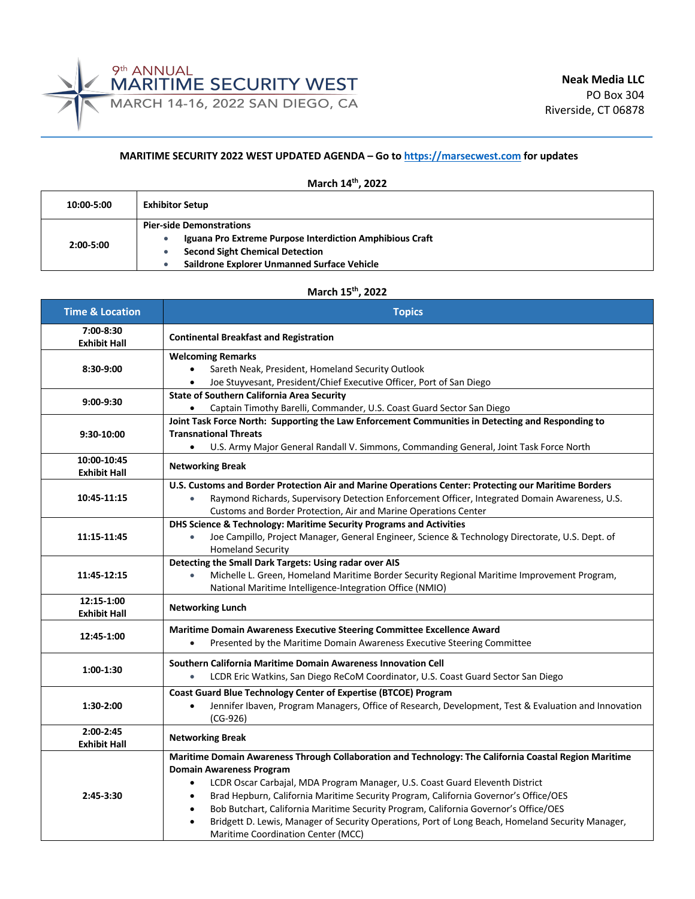

## **MARITIME SECURITY 2022 WEST UPDATED AGENDA – Go to https://marsecwest.com for updates**

| March 14th, 2022 |                                                                                                                                                                                      |  |  |
|------------------|--------------------------------------------------------------------------------------------------------------------------------------------------------------------------------------|--|--|
| 10:00-5:00       | <b>Exhibitor Setup</b>                                                                                                                                                               |  |  |
| $2:00 - 5:00$    | <b>Pier-side Demonstrations</b><br>Iguana Pro Extreme Purpose Interdiction Amphibious Craft<br><b>Second Sight Chemical Detection</b><br>Saildrone Explorer Unmanned Surface Vehicle |  |  |

## **March 15th, 2022**

| <b>Time &amp; Location</b>         | <b>Topics</b>                                                                                                                                                                                                                                                                                                                                                                                                                                                                                                                                                                                      |
|------------------------------------|----------------------------------------------------------------------------------------------------------------------------------------------------------------------------------------------------------------------------------------------------------------------------------------------------------------------------------------------------------------------------------------------------------------------------------------------------------------------------------------------------------------------------------------------------------------------------------------------------|
| 7:00-8:30<br><b>Exhibit Hall</b>   | <b>Continental Breakfast and Registration</b>                                                                                                                                                                                                                                                                                                                                                                                                                                                                                                                                                      |
| 8:30-9:00                          | <b>Welcoming Remarks</b><br>Sareth Neak, President, Homeland Security Outlook<br>$\bullet$<br>Joe Stuyvesant, President/Chief Executive Officer, Port of San Diego<br>$\bullet$                                                                                                                                                                                                                                                                                                                                                                                                                    |
| 9:00-9:30                          | <b>State of Southern California Area Security</b><br>Captain Timothy Barelli, Commander, U.S. Coast Guard Sector San Diego                                                                                                                                                                                                                                                                                                                                                                                                                                                                         |
| 9:30-10:00                         | Joint Task Force North: Supporting the Law Enforcement Communities in Detecting and Responding to<br><b>Transnational Threats</b><br>U.S. Army Major General Randall V. Simmons, Commanding General, Joint Task Force North                                                                                                                                                                                                                                                                                                                                                                        |
| 10:00-10:45<br><b>Exhibit Hall</b> | <b>Networking Break</b>                                                                                                                                                                                                                                                                                                                                                                                                                                                                                                                                                                            |
| 10:45-11:15                        | U.S. Customs and Border Protection Air and Marine Operations Center: Protecting our Maritime Borders<br>Raymond Richards, Supervisory Detection Enforcement Officer, Integrated Domain Awareness, U.S.<br>$\bullet$<br>Customs and Border Protection, Air and Marine Operations Center                                                                                                                                                                                                                                                                                                             |
| 11:15-11:45                        | DHS Science & Technology: Maritime Security Programs and Activities<br>Joe Campillo, Project Manager, General Engineer, Science & Technology Directorate, U.S. Dept. of<br>$\bullet$<br><b>Homeland Security</b>                                                                                                                                                                                                                                                                                                                                                                                   |
| 11:45-12:15                        | Detecting the Small Dark Targets: Using radar over AIS<br>Michelle L. Green, Homeland Maritime Border Security Regional Maritime Improvement Program,<br>$\bullet$<br>National Maritime Intelligence-Integration Office (NMIO)                                                                                                                                                                                                                                                                                                                                                                     |
| 12:15-1:00<br><b>Exhibit Hall</b>  | <b>Networking Lunch</b>                                                                                                                                                                                                                                                                                                                                                                                                                                                                                                                                                                            |
| 12:45-1:00                         | Maritime Domain Awareness Executive Steering Committee Excellence Award<br>Presented by the Maritime Domain Awareness Executive Steering Committee<br>$\bullet$                                                                                                                                                                                                                                                                                                                                                                                                                                    |
| 1:00-1:30                          | Southern California Maritime Domain Awareness Innovation Cell<br>LCDR Eric Watkins, San Diego ReCoM Coordinator, U.S. Coast Guard Sector San Diego<br>$\bullet$                                                                                                                                                                                                                                                                                                                                                                                                                                    |
| 1:30-2:00                          | Coast Guard Blue Technology Center of Expertise (BTCOE) Program<br>Jennifer Ibaven, Program Managers, Office of Research, Development, Test & Evaluation and Innovation<br>$\bullet$<br>$(CG-926)$                                                                                                                                                                                                                                                                                                                                                                                                 |
| 2:00-2:45<br><b>Exhibit Hall</b>   | <b>Networking Break</b>                                                                                                                                                                                                                                                                                                                                                                                                                                                                                                                                                                            |
| 2:45-3:30                          | Maritime Domain Awareness Through Collaboration and Technology: The California Coastal Region Maritime<br><b>Domain Awareness Program</b><br>LCDR Oscar Carbajal, MDA Program Manager, U.S. Coast Guard Eleventh District<br>$\bullet$<br>Brad Hepburn, California Maritime Security Program, California Governor's Office/OES<br>$\bullet$<br>Bob Butchart, California Maritime Security Program, California Governor's Office/OES<br>$\bullet$<br>Bridgett D. Lewis, Manager of Security Operations, Port of Long Beach, Homeland Security Manager,<br><b>Maritime Coordination Center (MCC)</b> |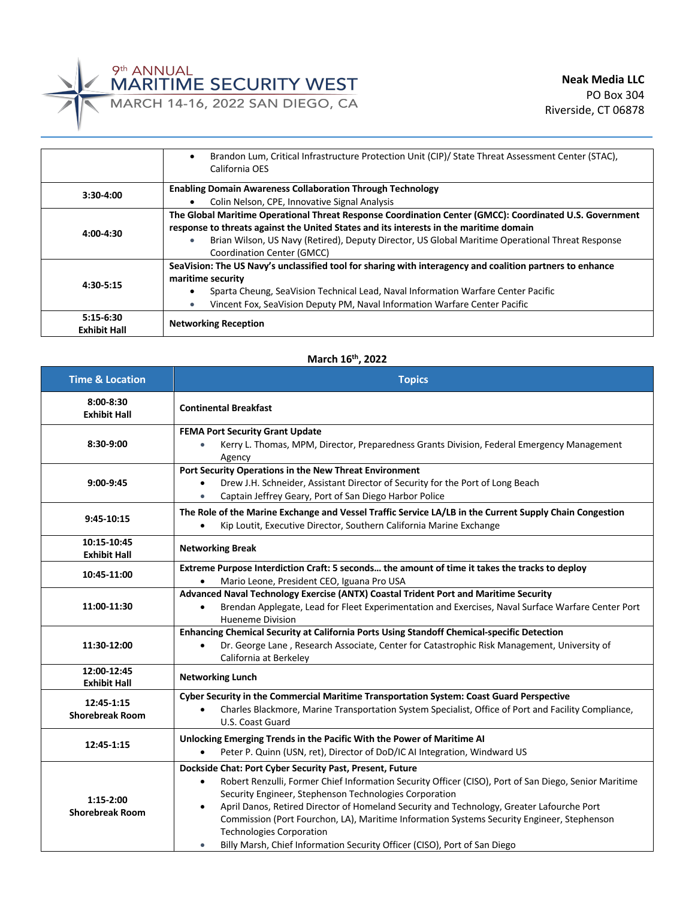

|                     | Brandon Lum, Critical Infrastructure Protection Unit (CIP)/ State Threat Assessment Center (STAC),<br>٠       |  |
|---------------------|---------------------------------------------------------------------------------------------------------------|--|
|                     | California OES                                                                                                |  |
|                     | <b>Enabling Domain Awareness Collaboration Through Technology</b>                                             |  |
| $3:30-4:00$         | Colin Nelson, CPE, Innovative Signal Analysis<br>$\bullet$                                                    |  |
|                     | The Global Maritime Operational Threat Response Coordination Center (GMCC): Coordinated U.S. Government       |  |
| $4:00-4:30$         | response to threats against the United States and its interests in the maritime domain                        |  |
|                     | Brian Wilson, US Navy (Retired), Deputy Director, US Global Maritime Operational Threat Response<br>$\bullet$ |  |
|                     | Coordination Center (GMCC)                                                                                    |  |
|                     | SeaVision: The US Navy's unclassified tool for sharing with interagency and coalition partners to enhance     |  |
|                     | maritime security                                                                                             |  |
| 4:30-5:15           | Sparta Cheung, SeaVision Technical Lead, Naval Information Warfare Center Pacific<br>٠                        |  |
|                     | Vincent Fox, SeaVision Deputy PM, Naval Information Warfare Center Pacific<br>$\bullet$                       |  |
| $5:15-6:30$         |                                                                                                               |  |
| <b>Exhibit Hall</b> | <b>Networking Reception</b>                                                                                   |  |

## **March 16th, 2022**

| <b>Time &amp; Location</b>            | <b>Topics</b>                                                                                                                                                                                                                                                                                                                                                                                                                                                                                                                                                    |
|---------------------------------------|------------------------------------------------------------------------------------------------------------------------------------------------------------------------------------------------------------------------------------------------------------------------------------------------------------------------------------------------------------------------------------------------------------------------------------------------------------------------------------------------------------------------------------------------------------------|
| $8:00-8:30$<br><b>Exhibit Hall</b>    | <b>Continental Breakfast</b>                                                                                                                                                                                                                                                                                                                                                                                                                                                                                                                                     |
| 8:30-9:00                             | <b>FEMA Port Security Grant Update</b><br>Kerry L. Thomas, MPM, Director, Preparedness Grants Division, Federal Emergency Management<br>Agency                                                                                                                                                                                                                                                                                                                                                                                                                   |
| $9:00-9:45$                           | Port Security Operations in the New Threat Environment<br>Drew J.H. Schneider, Assistant Director of Security for the Port of Long Beach<br>Captain Jeffrey Geary, Port of San Diego Harbor Police                                                                                                                                                                                                                                                                                                                                                               |
| 9:45-10:15                            | The Role of the Marine Exchange and Vessel Traffic Service LA/LB in the Current Supply Chain Congestion<br>Kip Loutit, Executive Director, Southern California Marine Exchange                                                                                                                                                                                                                                                                                                                                                                                   |
| 10:15-10:45<br><b>Exhibit Hall</b>    | <b>Networking Break</b>                                                                                                                                                                                                                                                                                                                                                                                                                                                                                                                                          |
| 10:45-11:00                           | Extreme Purpose Interdiction Craft: 5 seconds the amount of time it takes the tracks to deploy<br>Mario Leone, President CEO, Iguana Pro USA                                                                                                                                                                                                                                                                                                                                                                                                                     |
| 11:00-11:30                           | Advanced Naval Technology Exercise (ANTX) Coastal Trident Port and Maritime Security<br>Brendan Applegate, Lead for Fleet Experimentation and Exercises, Naval Surface Warfare Center Port<br><b>Hueneme Division</b>                                                                                                                                                                                                                                                                                                                                            |
| 11:30-12:00                           | Enhancing Chemical Security at California Ports Using Standoff Chemical-specific Detection<br>Dr. George Lane, Research Associate, Center for Catastrophic Risk Management, University of<br>California at Berkeley                                                                                                                                                                                                                                                                                                                                              |
| 12:00-12:45<br><b>Exhibit Hall</b>    | <b>Networking Lunch</b>                                                                                                                                                                                                                                                                                                                                                                                                                                                                                                                                          |
| 12:45-1:15<br><b>Shorebreak Room</b>  | Cyber Security in the Commercial Maritime Transportation System: Coast Guard Perspective<br>Charles Blackmore, Marine Transportation System Specialist, Office of Port and Facility Compliance,<br>U.S. Coast Guard                                                                                                                                                                                                                                                                                                                                              |
| 12:45-1:15                            | Unlocking Emerging Trends in the Pacific With the Power of Maritime AI<br>Peter P. Quinn (USN, ret), Director of DoD/IC AI Integration, Windward US                                                                                                                                                                                                                                                                                                                                                                                                              |
| $1:15-2:00$<br><b>Shorebreak Room</b> | Dockside Chat: Port Cyber Security Past, Present, Future<br>Robert Renzulli, Former Chief Information Security Officer (CISO), Port of San Diego, Senior Maritime<br>$\bullet$<br>Security Engineer, Stephenson Technologies Corporation<br>April Danos, Retired Director of Homeland Security and Technology, Greater Lafourche Port<br>Commission (Port Fourchon, LA), Maritime Information Systems Security Engineer, Stephenson<br><b>Technologies Corporation</b><br>Billy Marsh, Chief Information Security Officer (CISO), Port of San Diego<br>$\bullet$ |